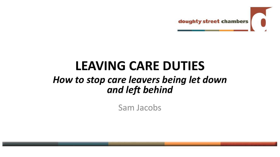

## **LEAVING CARE DUTIES**

### *How to stop care leavers being let down and left behind*

Sam Jacobs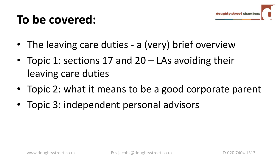### **To be covered:**

- The leaving care duties a (very) brief overview
- Topic 1: sections 17 and 20 LAs avoiding their leaving care duties
- Topic 2: what it means to be a good corporate parent
- Topic 3: independent personal advisors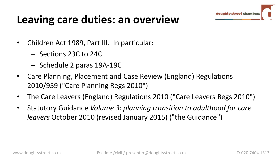

### **Leaving care duties: an overview**

- Children Act 1989, Part III. In particular:
	- Sections 23C to 24C
	- Schedule 2 paras 19A-19C
- Care Planning, Placement and Case Review (England) Regulations 2010/959 ("Care Planning Regs 2010")
- The Care Leavers (England) Regulations 2010 ("Care Leavers Regs 2010")
- Statutory Guidance *Volume 3: planning transition to adulthood for care leavers* October 2010 (revised January 2015) ("the Guidance")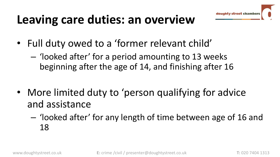

## **Leaving care duties: an overview**

- Full duty owed to a 'former relevant child'
	- 'looked after' for a period amounting to 13 weeks beginning after the age of 14, and finishing after 16
- More limited duty to 'person qualifying for advice and assistance
	- 'looked after' for any length of time between age of 16 and 18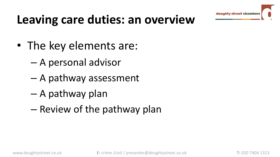## **Leaving care duties: an overview**

- The key elements are:
	- A personal advisor
	- A pathway assessment
	- A pathway plan
	- Review of the pathway plan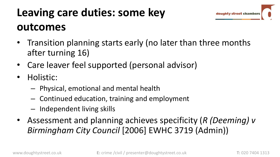### **Leaving care duties: some key outcomes**

- Transition planning starts early (no later than three months after turning 16)
- Care leaver feel supported (personal advisor)
- Holistic:
	- Physical, emotional and mental health
	- Continued education, training and employment
	- Independent living skills
- Assessment and planning achieves specificity (*R (Deeming) v Birmingham City Council* [2006] EWHC 3719 (Admin))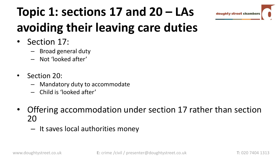# **Topic 1: sections 17 and 20 – LAs avoiding their leaving care duties**

- Section 17:
	- Broad general duty
	- Not 'looked after'
- Section 20:
	- Mandatory duty to accommodate
	- Child is 'looked after'
- Offering accommodation under section 17 rather than section 20
	- It saves local authorities money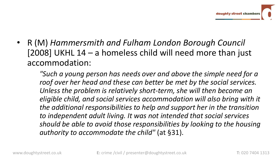• R (M) *Hammersmith and Fulham London Borough Council*  [2008] UKHL 14 – a homeless child will need more than just accommodation:

*"Such a young person has needs over and above the simple need for a roof over her head and these can better be met by the social services. Unless the problem is relatively short-term, she will then become an eligible child, and social services accommodation will also bring with it the additional responsibilities to help and support her in the transition to independent adult living. It was not intended that social services should be able to avoid those responsibilities by looking to the housing authority to accommodate the child"* (at §31).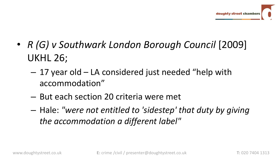- *R (G) v Southwark London Borough Council* [2009] UKHL 26;
	- 17 year old LA considered just needed "help with accommodation"
	- But each section 20 criteria were met
	- Hale: *"were not entitled to 'sidestep' that duty by giving the accommodation a different label"*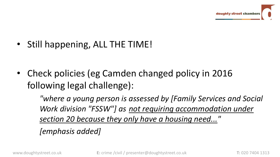• Still happening, ALL THE TIME!

• Check policies (eg Camden changed policy in 2016 following legal challenge):

> *"where a young person is assessed by [Family Services and Social Work division "FSSW"] as not requiring accommodation under section 20 because they only have a housing need..."*

*[emphasis added]*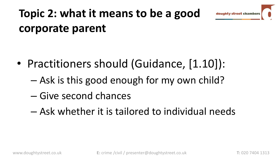

## **Topic 2: what it means to be a good corporate parent**

- Practitioners should (Guidance, [1.10]):
	- Ask is this good enough for my own child?
	- Give second chances
	- Ask whether it is tailored to individual needs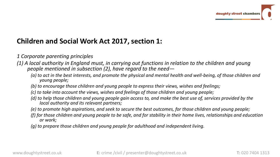#### **Children and Social Work Act 2017, section 1:**

*1 Corporate parenting principles*

- *(1) A local authority in England must, in carrying out functions in relation to the children and young people mentioned in subsection (2), have regard to the need—*
	- *(a) to act in the best interests, and promote the physical and mental health and well-being, of those children and young people;*
	- *(b) to encourage those children and young people to express their views, wishes and feelings;*
	- *(c) to take into account the views, wishes and feelings of those children and young people;*
	- *(d) to help those children and young people gain access to, and make the best use of, services provided by the local authority and its relevant partners;*
	- *(e) to promote high aspirations, and seek to secure the best outcomes, for those children and young people;*
	- *(f) for those children and young people to be safe, and for stability in their home lives, relationships and education or work;*
	- *(g) to prepare those children and young people for adulthood and independent living.*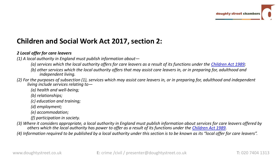#### **Children and Social Work Act 2017, section 2:**

#### *2 Local offer for care leavers*

*(1) A local authority in England must publish information about—*

*(a) services which the local authority offers for care leavers as a result of its functions under the [Children Act 1989](https://login.westlaw.co.uk/maf/wluk/app/document?src=doc&linktype=ref&context=34&crumb-action=replace&docguid=I5FF1A070E42311DAA7CF8F68F6EE57AB);* 

- *(b) other services which the local authority offers that may assist care leavers in, or in preparing for, adulthood and independent living.*
- *(2) For the purposes of subsection (1), services which may assist care leavers in, or in preparing for, adulthood and independent living include services relating to—*

*(a) health and well-being;*

*(b) relationships;*

*(c) education and training;*

*(d) employment;*

*(e) accommodation;*

*(f) participation in society.*

*(3) Where it considers appropriate, a local authority in England must publish information about services for care leavers offered by others which the local authority has power to offer as a result of its functions under the [Children Act 1989](https://login.westlaw.co.uk/maf/wluk/app/document?src=doc&linktype=ref&context=34&crumb-action=replace&docguid=I5FF1A070E42311DAA7CF8F68F6EE57AB).*

(4) Information required to be published by a local authority under this section is to be known as its "local offer for care leavers".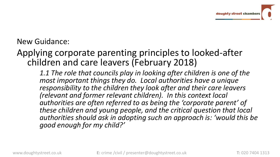### New Guidance:

### Applying corporate parenting principles to looked-after children and care leavers (February 2018)

*1.1 The role that councils play in looking after children is one of the most important things they do. Local authorities have a unique responsibility to the children they look after and their care leavers (relevant and former relevant children). In this context local authorities are often referred to as being the 'corporate parent' of these children and young people, and the critical question that local authorities should ask in adopting such an approach is: 'would this be good enough for my child?'*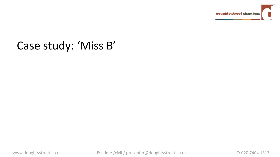

### Case study: 'Miss B'

www.doughtystreet.co.uk **E:** crime /civil / presenter@doughtystreet.co.uk **T:** 020 7404 1313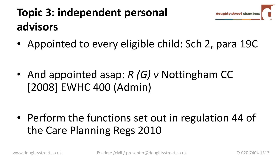## **Topic 3: independent personal advisors**

• Appointed to every eligible child: Sch 2, para 19C

• And appointed asap: *R (G) v* Nottingham CC [2008] EWHC 400 (Admin)

• Perform the functions set out in regulation 44 of the Care Planning Regs 2010

doughty street cham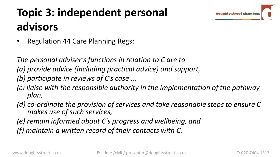### **Topic 3: independent personal advisors**

• Regulation 44 Care Planning Regs:

*The personal adviser's functions in relation to C are to—*

*(a) provide advice (including practical advice) and support,*

*(b) participate in reviews of C's case ...*

- *(c) liaise with the responsible authority in the implementation of the pathway plan,*
- *(d) co-ordinate the provision of services and take reasonable steps to ensure C makes use of such services,*

*(e) remain informed about C's progress and wellbeing, and*

*(f) maintain a written record of their contacts with C.*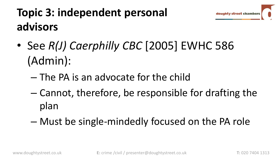

### **Topic 3: independent personal advisors**

- See *R(J) Caerphilly CBC* [2005] EWHC 586 (Admin):
	- The PA is an advocate for the child
	- Cannot, therefore, be responsible for drafting the plan
	- Must be single-mindedly focused on the PA role